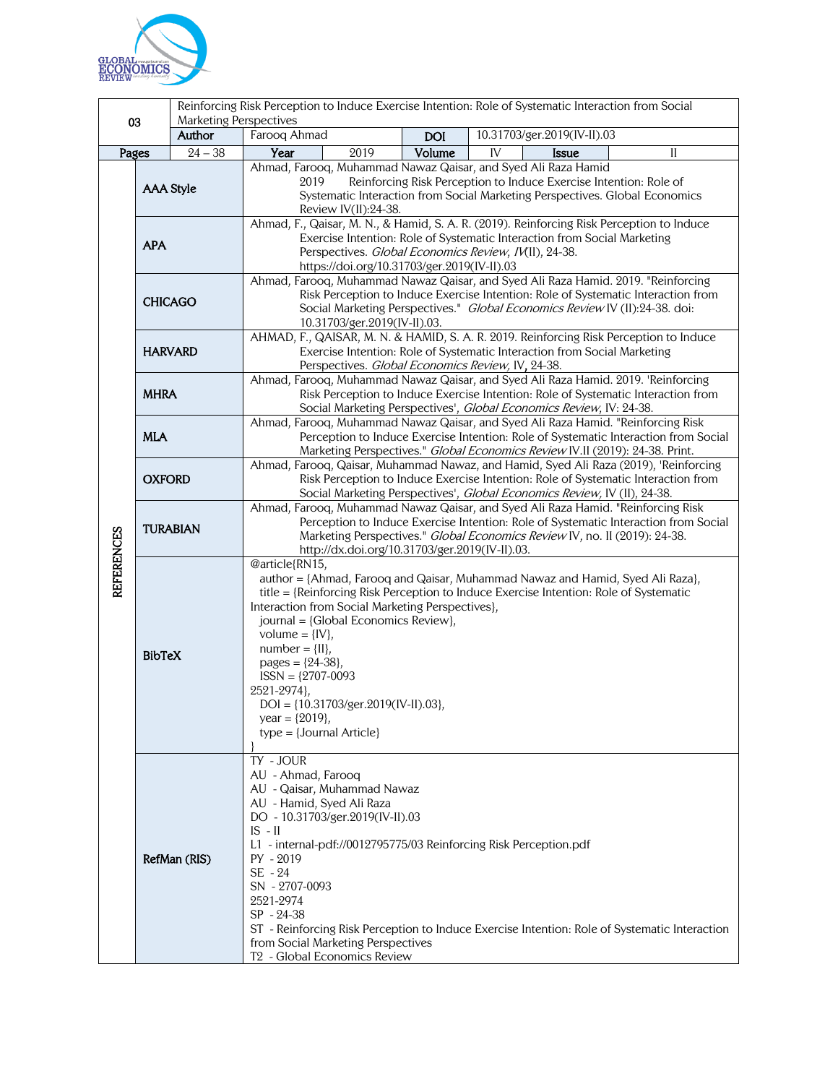

| <b>Marketing Perspectives</b> |                                                                                                                                                                                                                                                                                                                                          |                                                                                                                                                                                                                                                                                                                     | Reinforcing Risk Perception to Induce Exercise Intention: Role of Systematic Interaction from Social                                                                                                                                                                                                                                           |                                                                                                                                                                        |            |                             |              |    |
|-------------------------------|------------------------------------------------------------------------------------------------------------------------------------------------------------------------------------------------------------------------------------------------------------------------------------------------------------------------------------------|---------------------------------------------------------------------------------------------------------------------------------------------------------------------------------------------------------------------------------------------------------------------------------------------------------------------|------------------------------------------------------------------------------------------------------------------------------------------------------------------------------------------------------------------------------------------------------------------------------------------------------------------------------------------------|------------------------------------------------------------------------------------------------------------------------------------------------------------------------|------------|-----------------------------|--------------|----|
| 03                            |                                                                                                                                                                                                                                                                                                                                          | Author                                                                                                                                                                                                                                                                                                              | Farooq Ahmad                                                                                                                                                                                                                                                                                                                                   |                                                                                                                                                                        | <b>DOI</b> | 10.31703/ger.2019(IV-II).03 |              |    |
| Pages                         |                                                                                                                                                                                                                                                                                                                                          | $24 - 38$                                                                                                                                                                                                                                                                                                           | Year                                                                                                                                                                                                                                                                                                                                           | 2019                                                                                                                                                                   | Volume     | IV                          | <b>Issue</b> | II |
| <b>REFERENCES</b>             | <b>AAA Style</b>                                                                                                                                                                                                                                                                                                                         |                                                                                                                                                                                                                                                                                                                     | Ahmad, Farooq, Muhammad Nawaz Qaisar, and Syed Ali Raza Hamid<br>2019<br>Reinforcing Risk Perception to Induce Exercise Intention: Role of<br>Systematic Interaction from Social Marketing Perspectives. Global Economics<br>Review IV(II):24-38.<br>Ahmad, F., Qaisar, M. N., & Hamid, S. A. R. (2019). Reinforcing Risk Perception to Induce |                                                                                                                                                                        |            |                             |              |    |
|                               | <b>APA</b>                                                                                                                                                                                                                                                                                                                               |                                                                                                                                                                                                                                                                                                                     | Exercise Intention: Role of Systematic Interaction from Social Marketing<br>Perspectives. Global Economics Review, IV(II), 24-38.<br>https://doi.org/10.31703/ger.2019(IV-II).03<br>Ahmad, Farooq, Muhammad Nawaz Qaisar, and Syed Ali Raza Hamid. 2019. "Reinforcing                                                                          |                                                                                                                                                                        |            |                             |              |    |
|                               | <b>CHICAGO</b>                                                                                                                                                                                                                                                                                                                           |                                                                                                                                                                                                                                                                                                                     | Risk Perception to Induce Exercise Intention: Role of Systematic Interaction from<br>Social Marketing Perspectives." Global Economics Review IV (II):24-38. doi:<br>10.31703/ger.2019(IV-II).03.                                                                                                                                               |                                                                                                                                                                        |            |                             |              |    |
|                               | <b>HARVARD</b>                                                                                                                                                                                                                                                                                                                           |                                                                                                                                                                                                                                                                                                                     | AHMAD, F., QAISAR, M. N. & HAMID, S. A. R. 2019. Reinforcing Risk Perception to Induce<br>Exercise Intention: Role of Systematic Interaction from Social Marketing<br>Perspectives. Global Economics Review, IV, 24-38.                                                                                                                        |                                                                                                                                                                        |            |                             |              |    |
|                               | <b>MHRA</b>                                                                                                                                                                                                                                                                                                                              |                                                                                                                                                                                                                                                                                                                     | Ahmad, Farooq, Muhammad Nawaz Qaisar, and Syed Ali Raza Hamid. 2019. 'Reinforcing<br>Risk Perception to Induce Exercise Intention: Role of Systematic Interaction from<br>Social Marketing Perspectives', Global Economics Review, IV: 24-38.                                                                                                  |                                                                                                                                                                        |            |                             |              |    |
|                               | <b>MLA</b>                                                                                                                                                                                                                                                                                                                               |                                                                                                                                                                                                                                                                                                                     | Ahmad, Farooq, Muhammad Nawaz Qaisar, and Syed Ali Raza Hamid. "Reinforcing Risk<br>Perception to Induce Exercise Intention: Role of Systematic Interaction from Social<br>Marketing Perspectives." Global Economics Review IV.II (2019): 24-38. Print.                                                                                        |                                                                                                                                                                        |            |                             |              |    |
|                               | <b>OXFORD</b>                                                                                                                                                                                                                                                                                                                            |                                                                                                                                                                                                                                                                                                                     | Ahmad, Farooq, Qaisar, Muhammad Nawaz, and Hamid, Syed Ali Raza (2019), 'Reinforcing<br>Risk Perception to Induce Exercise Intention: Role of Systematic Interaction from<br>Social Marketing Perspectives', Global Economics Review, IV (II), 24-38.                                                                                          |                                                                                                                                                                        |            |                             |              |    |
|                               | <b>TURABIAN</b>                                                                                                                                                                                                                                                                                                                          |                                                                                                                                                                                                                                                                                                                     | Ahmad, Farooq, Muhammad Nawaz Qaisar, and Syed Ali Raza Hamid. "Reinforcing Risk<br>Perception to Induce Exercise Intention: Role of Systematic Interaction from Social<br>Marketing Perspectives." Global Economics Review IV, no. II (2019): 24-38.<br>http://dx.doi.org/10.31703/ger.2019(IV-II).03.                                        |                                                                                                                                                                        |            |                             |              |    |
|                               | @article{RN15,<br>Interaction from Social Marketing Perspectives},<br>journal = {Global Economics Review},<br>volume = $\{IV\},\$<br>$number = \{II\},$<br><b>BibTeX</b><br>pages = ${24-38}$ ,<br>$ISSN = {2707-0093}$<br>2521-2974},<br>$DOI = \{10.31703/ger.2019(IV-II).03\},\$<br>year = $\{2019\}$ ,<br>$type = {Journal Article}$ |                                                                                                                                                                                                                                                                                                                     |                                                                                                                                                                                                                                                                                                                                                | author = {Ahmad, Farooq and Qaisar, Muhammad Nawaz and Hamid, Syed Ali Raza},<br>title = {Reinforcing Risk Perception to Induce Exercise Intention: Role of Systematic |            |                             |              |    |
|                               |                                                                                                                                                                                                                                                                                                                                          | TY - JOUR<br>AU - Ahmad, Farooq<br>AU - Qaisar, Muhammad Nawaz<br>AU - Hamid, Syed Ali Raza<br>DO - 10.31703/ger.2019(IV-II).03<br>$IS - II$<br>RefMan (RIS)<br>PY - 2019<br>SE - 24<br>SN - 2707-0093<br>2521-2974<br>SP - 24-38<br>from Social Marketing Perspectives<br>T <sub>2</sub> - Global Economics Review |                                                                                                                                                                                                                                                                                                                                                | L1 - internal-pdf://0012795775/03 Reinforcing Risk Perception.pdf<br>ST - Reinforcing Risk Perception to Induce Exercise Intention: Role of Systematic Interaction     |            |                             |              |    |